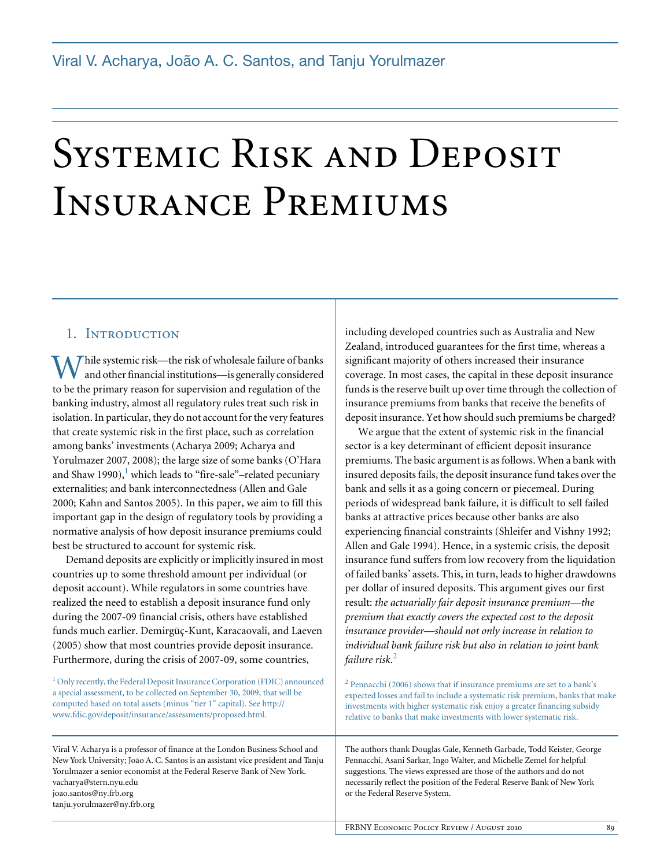# SYSTEMIC RISK AND DEPOSIT Insurance Premiums

#### 1. INTRODUCTION

 $\overline{f}$  hile systemic risk—the risk of wholesale failure of banks and other financial institutions—is generally considered While systemic risk—the risk of wholesale failure of banks<br>to be the primary reason for supervision and regulation of the banking industry, almost all regulatory rules treat such risk in isolation. In particular, they do not account for the very features that create systemic risk in the first place, such as correlation among banks' investments (Acharya 2009; Acharya and Yorulmazer 2007, 2008); the large size of some banks (O'Hara and Shaw 1990), $^1$  which leads to "fire-sale"-related pecuniary externalities; and bank interconnectedness (Allen and Gale 2000; Kahn and Santos 2005). In this paper, we aim to fill this important gap in the design of regulatory tools by providing a normative analysis of how deposit insurance premiums could best be structured to account for systemic risk.

Demand deposits are explicitly or implicitly insured in most countries up to some threshold amount per individual (or deposit account). While regulators in some countries have realized the need to establish a deposit insurance fund only during the 2007-09 financial crisis, others have established funds much earlier. Demirgüç-Kunt, Karacaovali, and Laeven (2005) show that most countries provide deposit insurance. Furthermore, during the crisis of 2007-09, some countries,

<sup>1</sup> Only recently, the Federal Deposit Insurance Corporation (FDIC) announced a special assessment, to be collected on September 30, 2009, that will be computed based on total assets (minus "tier 1" capital). See http:// www.fdic.gov/deposit/insurance/assessments/proposed.html.

Viral V. Acharya is a professor of finance at the London Business School and New York University; João A. C. Santos is an assistant vice president and Tanju Yorulmazer a senior economist at the Federal Reserve Bank of New York. vacharya@stern.nyu.edu joao.santos@ny.frb.org tanju.yorulmazer@ny.frb.org

including developed countries such as Australia and New Zealand, introduced guarantees for the first time, whereas a significant majority of others increased their insurance coverage. In most cases, the capital in these deposit insurance funds is the reserve built up over time through the collection of insurance premiums from banks that receive the benefits of deposit insurance. Yet how should such premiums be charged?

We argue that the extent of systemic risk in the financial sector is a key determinant of efficient deposit insurance premiums. The basic argument is as follows. When a bank with insured deposits fails, the deposit insurance fund takes over the bank and sells it as a going concern or piecemeal. During periods of widespread bank failure, it is difficult to sell failed banks at attractive prices because other banks are also experiencing financial constraints (Shleifer and Vishny 1992; Allen and Gale 1994). Hence, in a systemic crisis, the deposit insurance fund suffers from low recovery from the liquidation of failed banks' assets. This, in turn, leads to higher drawdowns per dollar of insured deposits. This argument gives our first result: *the actuarially fair deposit insurance premium—the premium that exactly covers the expected cost to the deposit insurance provider—should not only increase in relation to individual bank failure risk but also in relation to joint bank failure risk*. 2

<sup>2</sup> Pennacchi (2006) shows that if insurance premiums are set to a bank's expected losses and fail to include a systematic risk premium, banks that make investments with higher systematic risk enjoy a greater financing subsidy relative to banks that make investments with lower systematic risk.

The authors thank Douglas Gale, Kenneth Garbade, Todd Keister, George Pennacchi, Asani Sarkar, Ingo Walter, and Michelle Zemel for helpful suggestions. The views expressed are those of the authors and do not necessarily reflect the position of the Federal Reserve Bank of New York or the Federal Reserve System.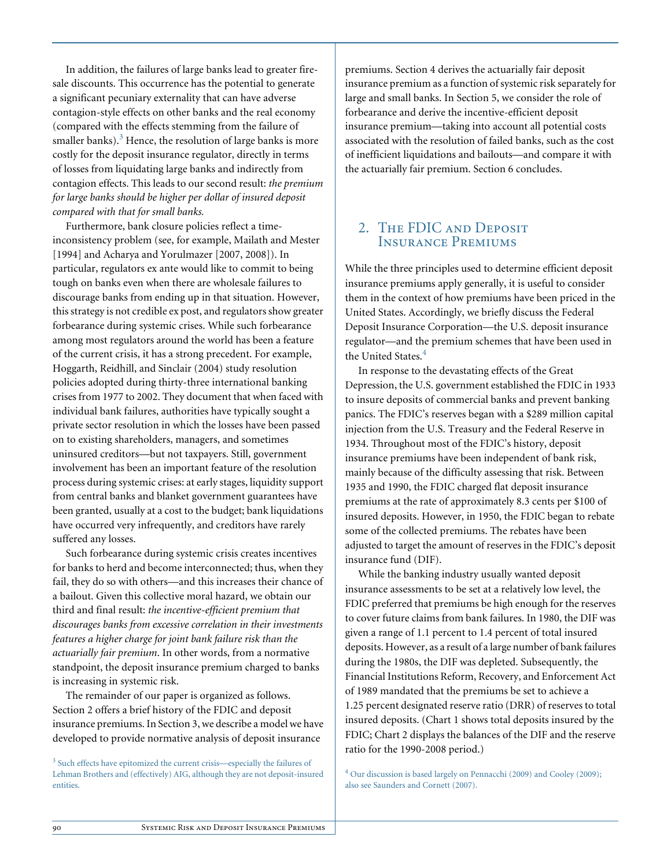In addition, the failures of large banks lead to greater firesale discounts. This occurrence has the potential to generate a significant pecuniary externality that can have adverse contagion-style effects on other banks and the real economy (compared with the effects stemming from the failure of smaller banks). $3$  Hence, the resolution of large banks is more costly for the deposit insurance regulator, directly in terms of losses from liquidating large banks and indirectly from contagion effects. This leads to our second result: *the premium for large banks should be higher per dollar of insured deposit compared with that for small banks.*

Furthermore, bank closure policies reflect a timeinconsistency problem (see, for example, Mailath and Mester [1994] and Acharya and Yorulmazer [2007, 2008]). In particular, regulators ex ante would like to commit to being tough on banks even when there are wholesale failures to discourage banks from ending up in that situation. However, this strategy is not credible ex post, and regulators show greater forbearance during systemic crises. While such forbearance among most regulators around the world has been a feature of the current crisis, it has a strong precedent. For example, Hoggarth, Reidhill, and Sinclair (2004) study resolution policies adopted during thirty-three international banking crises from 1977 to 2002. They document that when faced with individual bank failures, authorities have typically sought a private sector resolution in which the losses have been passed on to existing shareholders, managers, and sometimes uninsured creditors—but not taxpayers. Still, government involvement has been an important feature of the resolution process during systemic crises: at early stages, liquidity support from central banks and blanket government guarantees have been granted, usually at a cost to the budget; bank liquidations have occurred very infrequently, and creditors have rarely suffered any losses.

Such forbearance during systemic crisis creates incentives for banks to herd and become interconnected; thus, when they fail, they do so with others—and this increases their chance of a bailout. Given this collective moral hazard, we obtain our third and final result: *the incentive-efficient premium that discourages banks from excessive correlation in their investments features a higher charge for joint bank failure risk than the actuarially fair premium*. In other words, from a normative standpoint, the deposit insurance premium charged to banks is increasing in systemic risk.

The remainder of our paper is organized as follows. Section 2 offers a brief history of the FDIC and deposit insurance premiums. In Section 3, we describe a model we have developed to provide normative analysis of deposit insurance

<sup>3</sup> Such effects have epitomized the current crisis—especially the failures of Lehman Brothers and (effectively) AIG, although they are not deposit-insured entities.

premiums. Section 4 derives the actuarially fair deposit insurance premium as a function of systemic risk separately for large and small banks. In Section 5, we consider the role of forbearance and derive the incentive-efficient deposit insurance premium—taking into account all potential costs associated with the resolution of failed banks, such as the cost of inefficient liquidations and bailouts—and compare it with the actuarially fair premium. Section 6 concludes.

## 2. The FDIC and Deposit Insurance Premiums

While the three principles used to determine efficient deposit insurance premiums apply generally, it is useful to consider them in the context of how premiums have been priced in the United States. Accordingly, we briefly discuss the Federal Deposit Insurance Corporation—the U.S. deposit insurance regulator—and the premium schemes that have been used in the United States.<sup>4</sup>

In response to the devastating effects of the Great Depression, the U.S. government established the FDIC in 1933 to insure deposits of commercial banks and prevent banking panics. The FDIC's reserves began with a \$289 million capital injection from the U.S. Treasury and the Federal Reserve in 1934. Throughout most of the FDIC's history, deposit insurance premiums have been independent of bank risk, mainly because of the difficulty assessing that risk. Between 1935 and 1990, the FDIC charged flat deposit insurance premiums at the rate of approximately 8.3 cents per \$100 of insured deposits. However, in 1950, the FDIC began to rebate some of the collected premiums. The rebates have been adjusted to target the amount of reserves in the FDIC's deposit insurance fund (DIF).

While the banking industry usually wanted deposit insurance assessments to be set at a relatively low level, the FDIC preferred that premiums be high enough for the reserves to cover future claims from bank failures. In 1980, the DIF was given a range of 1.1 percent to 1.4 percent of total insured deposits. However, as a result of a large number of bank failures during the 1980s, the DIF was depleted. Subsequently, the Financial Institutions Reform, Recovery, and Enforcement Act of 1989 mandated that the premiums be set to achieve a 1.25 percent designated reserve ratio (DRR) of reserves to total insured deposits. (Chart 1 shows total deposits insured by the FDIC; Chart 2 displays the balances of the DIF and the reserve ratio for the 1990-2008 period.)

<sup>4</sup> Our discussion is based largely on Pennacchi (2009) and Cooley (2009); also see Saunders and Cornett (2007).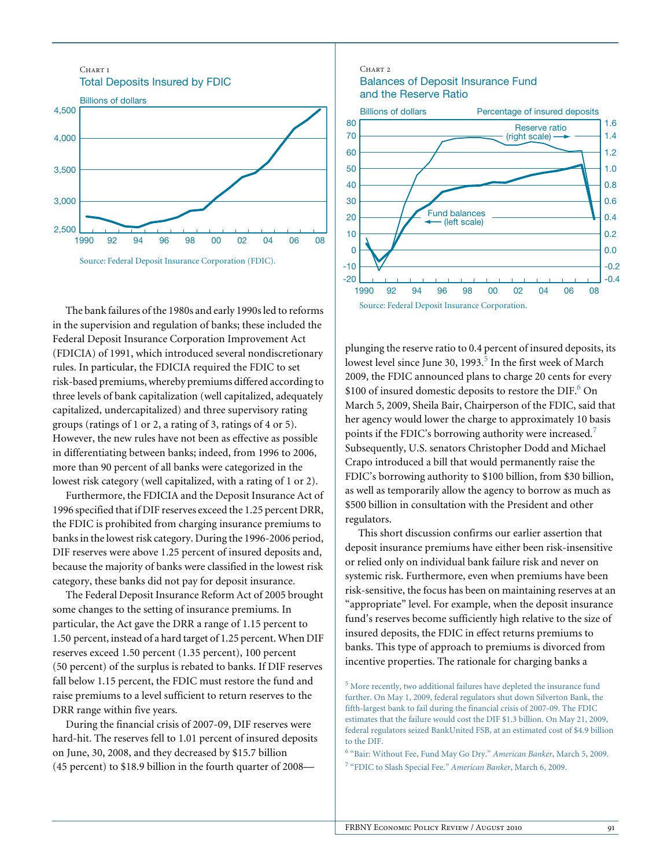

The bank failures of the 1980s and early 1990s led to reforms in the supervision and regulation of banks; these included the Federal Deposit Insurance Corporation Improvement Act (FDICIA) of 1991, which introduced several nondiscretionary rules. In particular, the FDICIA required the FDIC to set risk-based premiums, whereby premiums differed according to three levels of bank capitalization (well capitalized, adequately capitalized, undercapitalized) and three supervisory rating groups (ratings of 1 or 2, a rating of 3, ratings of 4 or 5). However, the new rules have not been as effective as possible in differentiating between banks; indeed, from 1996 to 2006, more than 90 percent of all banks were categorized in the lowest risk category (well capitalized, with a rating of 1 or 2).

Furthermore, the FDICIA and the Deposit Insurance Act of 1996 specified that if DIF reserves exceed the 1.25 percent DRR, the FDIC is prohibited from charging insurance premiums to banks in the lowest risk category. During the 1996-2006 period, DIF reserves were above 1.25 percent of insured deposits and, because the majority of banks were classified in the lowest risk category, these banks did not pay for deposit insurance.

The Federal Deposit Insurance Reform Act of 2005 brought some changes to the setting of insurance premiums. In particular, the Act gave the DRR a range of 1.15 percent to 1.50 percent, instead of a hard target of 1.25 percent. When DIF reserves exceed 1.50 percent (1.35 percent), 100 percent (50 percent) of the surplus is rebated to banks. If DIF reserves fall below 1.15 percent, the FDIC must restore the fund and raise premiums to a level sufficient to return reserves to the DRR range within five years.

During the financial crisis of 2007-09, DIF reserves were hard-hit. The reserves fell to 1.01 percent of insured deposits on June, 30, 2008, and they decreased by \$15.7 billion (45 percent) to \$18.9 billion in the fourth quarter of 2008—

#### Balances of Deposit Insurance Fund and the Reserve Ratio

CHART<sub>2</sub>



plunging the reserve ratio to 0.4 percent of insured deposits, its lowest level since June 30, 1993. $^5$  In the first week of March 2009, the FDIC announced plans to charge 20 cents for every \$100 of insured domestic deposits to restore the DIF.<sup>6</sup> On March 5, 2009, Sheila Bair, Chairperson of the FDIC, said that her agency would lower the charge to approximately 10 basis points if the FDIC's borrowing authority were increased.<sup>7</sup> Subsequently, U.S. senators Christopher Dodd and Michael Crapo introduced a bill that would permanently raise the FDIC's borrowing authority to \$100 billion, from \$30 billion, as well as temporarily allow the agency to borrow as much as \$500 billion in consultation with the President and other regulators.

This short discussion confirms our earlier assertion that deposit insurance premiums have either been risk-insensitive or relied only on individual bank failure risk and never on systemic risk. Furthermore, even when premiums have been risk-sensitive, the focus has been on maintaining reserves at an "appropriate" level. For example, when the deposit insurance fund's reserves become sufficiently high relative to the size of insured deposits, the FDIC in effect returns premiums to banks. This type of approach to premiums is divorced from incentive properties. The rationale for charging banks a

6 "Bair: Without Fee, Fund May Go Dry." *American Banker*, March 5, 2009. 7 "FDIC to Slash Special Fee." *American Banker*, March 6, 2009.

 $5$  More recently, two additional failures have depleted the insurance fund further. On May 1, 2009, federal regulators shut down Silverton Bank, the fifth-largest bank to fail during the financial crisis of 2007-09. The FDIC estimates that the failure would cost the DIF \$1.3 billion. On May 21, 2009, federal regulators seized BankUnited FSB, at an estimated cost of \$4.9 billion to the DIF.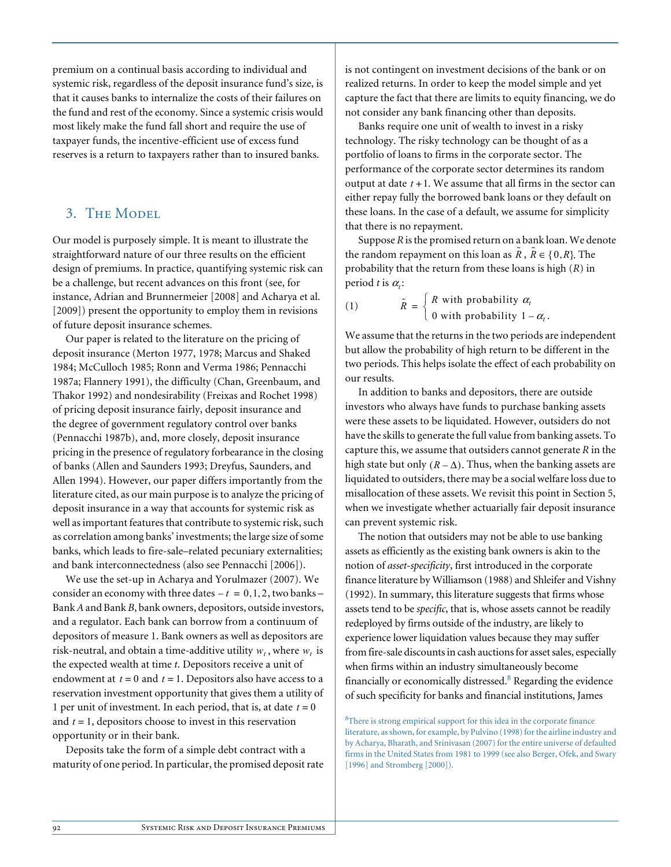premium on a continual basis according to individual and systemic risk, regardless of the deposit insurance fund's size, is that it causes banks to internalize the costs of their failures on the fund and rest of the economy. Since a systemic crisis would most likely make the fund fall short and require the use of taxpayer funds, the incentive-efficient use of excess fund reserves is a return to taxpayers rather than to insured banks.

#### 3. THE MODEL

Our model is purposely simple. It is meant to illustrate the straightforward nature of our three results on the efficient design of premiums. In practice, quantifying systemic risk can be a challenge, but recent advances on this front (see, for instance, Adrian and Brunnermeier [2008] and Acharya et al. [2009]) present the opportunity to employ them in revisions of future deposit insurance schemes.

Our paper is related to the literature on the pricing of deposit insurance (Merton 1977, 1978; Marcus and Shaked 1984; McCulloch 1985; Ronn and Verma 1986; Pennacchi 1987a; Flannery 1991), the difficulty (Chan, Greenbaum, and Thakor 1992) and nondesirability (Freixas and Rochet 1998) of pricing deposit insurance fairly, deposit insurance and the degree of government regulatory control over banks (Pennacchi 1987b), and, more closely, deposit insurance pricing in the presence of regulatory forbearance in the closing of banks (Allen and Saunders 1993; Dreyfus, Saunders, and Allen 1994). However, our paper differs importantly from the literature cited, as our main purpose is to analyze the pricing of deposit insurance in a way that accounts for systemic risk as well as important features that contribute to systemic risk, such as correlation among banks' investments; the large size of some banks, which leads to fire-sale–related pecuniary externalities; and bank interconnectedness (also see Pennacchi [2006]).

We use the set-up in Acharya and Yorulmazer (2007). We consider an economy with three dates  $-t = 0, 1, 2$ , two banks – Bank *A* and Bank *B*, bank owners, depositors, outside investors, and a regulator. Each bank can borrow from a continuum of depositors of measure 1. Bank owners as well as depositors are risk-neutral, and obtain a time-additive utility  $w_t$ , where  $w_t$  is the expected wealth at time *t*. Depositors receive a unit of endowment at  $t = 0$  and  $t = 1$ . Depositors also have access to a reservation investment opportunity that gives them a utility of 1 per unit of investment. In each period, that is, at date  $t = 0$ and  $t = 1$ , depositors choose to invest in this reservation opportunity or in their bank.

Deposits take the form of a simple debt contract with a maturity of one period. In particular, the promised deposit rate is not contingent on investment decisions of the bank or on realized returns. In order to keep the model simple and yet capture the fact that there are limits to equity financing, we do not consider any bank financing other than deposits.

Banks require one unit of wealth to invest in a risky technology. The risky technology can be thought of as a portfolio of loans to firms in the corporate sector. The performance of the corporate sector determines its random output at date  $t + 1$ . We assume that all firms in the sector can either repay fully the borrowed bank loans or they default on these loans. In the case of a default, we assume for simplicity that there is no repayment.

Suppose *R* is the promised return on a bank loan. We denote the random repayment on this loan as  $\tilde{R}$ ,  $\tilde{R} \in \{0, R\}$ . The probability that the return from these loans is high (*R*) in period *t* is  $\alpha_i$ :

(1) 
$$
\tilde{R} = \begin{cases} R \text{ with probability } \alpha_t \\ 0 \text{ with probability } 1 - \alpha_t. \end{cases}
$$

We assume that the returns in the two periods are independent but allow the probability of high return to be different in the two periods. This helps isolate the effect of each probability on our results.

In addition to banks and depositors, there are outside investors who always have funds to purchase banking assets were these assets to be liquidated. However, outsiders do not have the skills to generate the full value from banking assets. To capture this, we assume that outsiders cannot generate *R* in the high state but only  $(R - \Delta)$ . Thus, when the banking assets are liquidated to outsiders, there may be a social welfare loss due to misallocation of these assets. We revisit this point in Section 5, when we investigate whether actuarially fair deposit insurance can prevent systemic risk.

The notion that outsiders may not be able to use banking assets as efficiently as the existing bank owners is akin to the notion of *asset-specificity*, first introduced in the corporate finance literature by Williamson (1988) and Shleifer and Vishny (1992). In summary, this literature suggests that firms whose assets tend to be *specific*, that is, whose assets cannot be readily redeployed by firms outside of the industry, are likely to experience lower liquidation values because they may suffer from fire-sale discounts in cash auctions for asset sales, especially when firms within an industry simultaneously become financially or economically distressed.<sup>8</sup> Regarding the evidence of such specificity for banks and financial institutions, James

<sup>8</sup>There is strong empirical support for this idea in the corporate finance literature, as shown, for example, by Pulvino (1998) for the airline industry and by Acharya, Bharath, and Srinivasan (2007) for the entire universe of defaulted firms in the United States from 1981 to 1999 (see also Berger, Ofek, and Swary [1996] and Stromberg [2000]).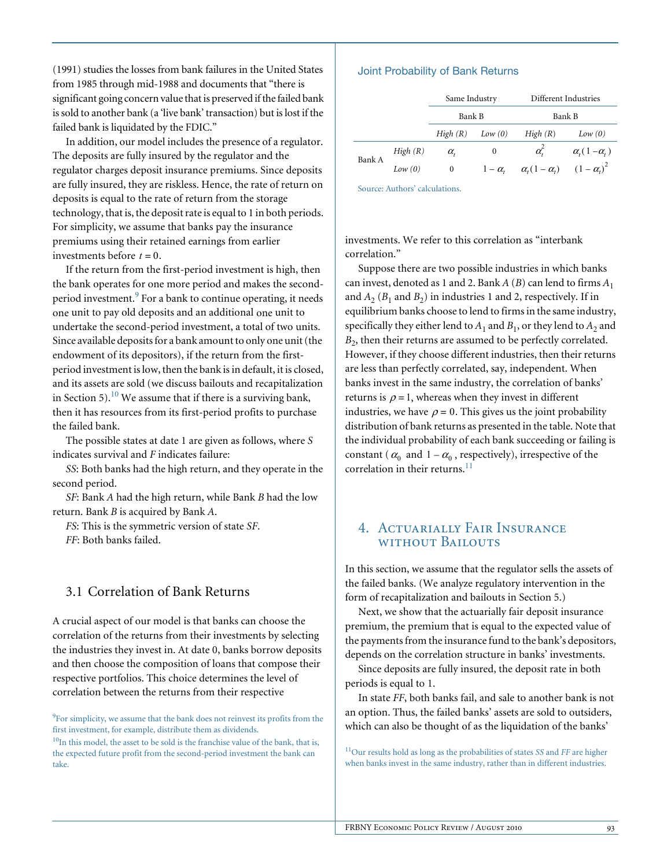(1991) studies the losses from bank failures in the United States from 1985 through mid-1988 and documents that "there is significant going concern value that is preserved if the failed bank is sold to another bank (a 'live bank' transaction) but is lost if the failed bank is liquidated by the FDIC."

In addition, our model includes the presence of a regulator. The deposits are fully insured by the regulator and the regulator charges deposit insurance premiums. Since deposits are fully insured, they are riskless. Hence, the rate of return on deposits is equal to the rate of return from the storage technology, that is, the deposit rate is equal to 1 in both periods. For simplicity, we assume that banks pay the insurance premiums using their retained earnings from earlier investments before  $t = 0$ .

If the return from the first-period investment is high, then the bank operates for one more period and makes the secondperiod investment.<sup>9</sup> For a bank to continue operating, it needs one unit to pay old deposits and an additional one unit to undertake the second-period investment, a total of two units. Since available deposits for a bank amount to only one unit (the endowment of its depositors), if the return from the firstperiod investment is low, then the bank is in default, it is closed, and its assets are sold (we discuss bailouts and recapitalization in Section 5).<sup>10</sup> We assume that if there is a surviving bank, then it has resources from its first-period profits to purchase the failed bank.

The possible states at date 1 are given as follows, where *S* indicates survival and *F* indicates failure:

*SS*: Both banks had the high return, and they operate in the second period.

*SF*: Bank *A* had the high return, while Bank *B* had the low return. Bank *B* is acquired by Bank *A*.

*FS*: This is the symmetric version of state *SF*.

*FF*: Both banks failed.

#### 3.1 Correlation of Bank Returns

A crucial aspect of our model is that banks can choose the correlation of the returns from their investments by selecting the industries they invest in. At date 0, banks borrow deposits and then choose the composition of loans that compose their respective portfolios. This choice determines the level of correlation between the returns from their respective

<sup>9</sup>For simplicity, we assume that the bank does not reinvest its profits from the first investment, for example, distribute them as dividends.

 $10$ In this model, the asset to be sold is the franchise value of the bank, that is, the expected future profit from the second-period investment the bank can take.

#### Joint Probability of Bank Returns

|        |           | Same Industry    |            | Different Industries   |                                                  |
|--------|-----------|------------------|------------|------------------------|--------------------------------------------------|
|        |           | Bank B           |            | Bank B                 |                                                  |
|        |           | High(R)          | Low(0)     | High(R)                | Low(0)                                           |
| Bank A | High(R)   | $\alpha_{\iota}$ | 0          | $\alpha_i^2$           | $\alpha$ <sub>(</sub> 1- $\alpha$ <sub>i</sub> ) |
|        | Low $(0)$ | 0                | $1-\alpha$ | $\alpha_i(1-\alpha_i)$ | $(1-\alpha_i)^2$                                 |

Source: Authors' calculations.

investments. We refer to this correlation as "interbank correlation."

Suppose there are two possible industries in which banks can invest, denoted as 1 and 2. Bank  $A(B)$  can lend to firms  $A_1$ and  $A_2$  ( $B_1$  and  $B_2$ ) in industries 1 and 2, respectively. If in equilibrium banks choose to lend to firms in the same industry, specifically they either lend to  $A_1$  and  $B_1$ , or they lend to  $A_2$  and *B*<sub>2</sub>, then their returns are assumed to be perfectly correlated. However, if they choose different industries, then their returns are less than perfectly correlated, say, independent. When banks invest in the same industry, the correlation of banks' returns is  $\rho = 1$ , whereas when they invest in different industries, we have  $\rho = 0$ . This gives us the joint probability distribution of bank returns as presented in the table. Note that the individual probability of each bank succeeding or failing is constant ( $\alpha_0$  and  $1 - \alpha_0$ , respectively), irrespective of the correlation in their returns. $^{11}$ 

#### 4. Actuarially Fair Insurance without Bailouts

In this section, we assume that the regulator sells the assets of the failed banks. (We analyze regulatory intervention in the form of recapitalization and bailouts in Section 5.)

Next, we show that the actuarially fair deposit insurance premium, the premium that is equal to the expected value of the payments from the insurance fund to the bank's depositors, depends on the correlation structure in banks' investments.

Since deposits are fully insured, the deposit rate in both periods is equal to 1.

In state *FF*, both banks fail, and sale to another bank is not an option. Thus, the failed banks' assets are sold to outsiders, which can also be thought of as the liquidation of the banks'

11Our results hold as long as the probabilities of states *SS* and *FF* are higher when banks invest in the same industry, rather than in different industries.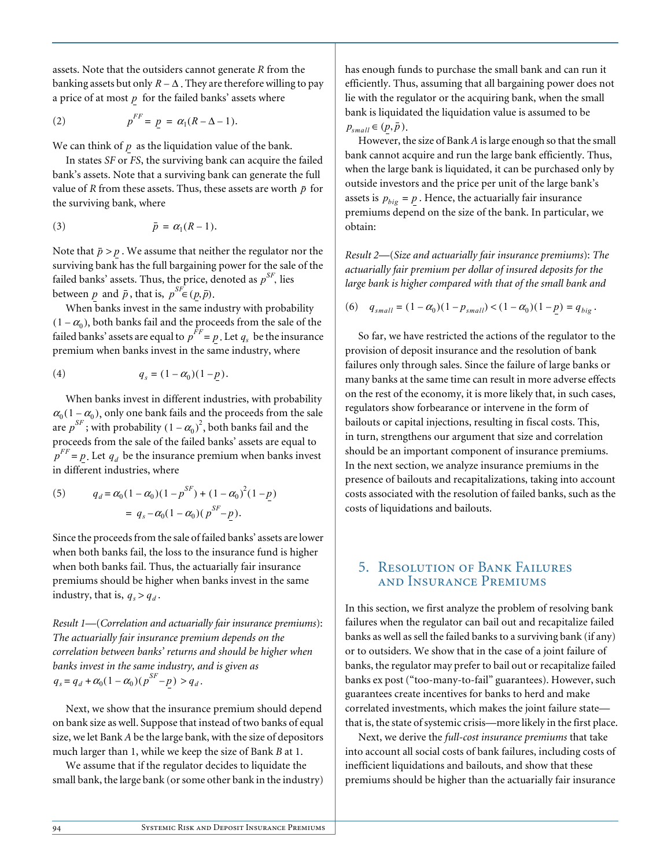assets. Note that the outsiders cannot generate *R* from the banking assets but only  $R - \Delta$  . They are therefore willing to pay a price of at most  $p$  for the failed banks' assets where

$$
(2) \t\t\t pFF = p = \alpha_1(R - \Delta - 1).
$$

We can think of  $p$  as the liquidation value of the bank.

In states *SF* or *FS*, the surviving bank can acquire the failed bank's assets. Note that a surviving bank can generate the full value of *R* from these assets. Thus, these assets are worth  $\bar{p}$  for the surviving bank, where

$$
\bar{p} = \alpha_1(R-1).
$$

Note that  $\bar{p} > p$  . We assume that neither the regulator nor the surviving bank has the full bargaining power for the sale of the failed banks' assets. Thus, the price, denoted as  $p^{SF}$ , lies between *p* and  $\bar{p}$ , that is,  $p^{SF} \in (p, \bar{p})$ .

When banks invest in the same industry with probability  $(1 - \alpha_0)$ , both banks fail and the proceeds from the sale of the failed banks' assets are equal to  $p^{FF} = p$ . Let  $q_s$  be the insurance premium when banks invest in the same industry, where

(4) 
$$
q_s = (1 - \alpha_0)(1 - p).
$$

When banks invest in different industries, with probability  $\alpha_0(1-\alpha_0)$ , only one bank fails and the proceeds from the sale are  $p^{SF}$ ; with probability  $(1 - \alpha_0)^2$ , both banks fail and the proceeds from the sale of the failed banks' assets are equal to  $p^{FF}$  = *p*. Let  $q_d$  be the insurance premium when banks invest in different industries, where

(5) 
$$
q_d = \alpha_0 (1 - \alpha_0)(1 - p^{SF}) + (1 - \alpha_0)^2 (1 - p)
$$

$$
= q_s - \alpha_0 (1 - \alpha_0)(p^{SF} - p).
$$

Since the proceeds from the sale of failed banks' assets are lower when both banks fail, the loss to the insurance fund is higher when both banks fail. Thus, the actuarially fair insurance premiums should be higher when banks invest in the same industry, that is,  $q_s > q_d$ .

*Result 1*—(*Correlation and actuarially fair insurance premiums*): *The actuarially fair insurance premium depends on the correlation between banks' returns and should be higher when banks invest in the same industry, and is given as*   $q_s = q_d + \alpha_0 (1 - \alpha_0) (p^{SF} - p) > q_d$ .

Next, we show that the insurance premium should depend on bank size as well. Suppose that instead of two banks of equal size, we let Bank *A* be the large bank, with the size of depositors much larger than 1, while we keep the size of Bank *B* at 1.

We assume that if the regulator decides to liquidate the small bank, the large bank (or some other bank in the industry) has enough funds to purchase the small bank and can run it efficiently. Thus, assuming that all bargaining power does not lie with the regulator or the acquiring bank, when the small bank is liquidated the liquidation value is assumed to be  $p_{small} \in (p, \overline{p}).$ 

However, the size of Bank *A* is large enough so that the small bank cannot acquire and run the large bank efficiently. Thus, when the large bank is liquidated, it can be purchased only by outside investors and the price per unit of the large bank's assets is  $p_{big} = p$ . Hence, the actuarially fair insurance premiums depend on the size of the bank. In particular, we obtain:

*Result 2*—(*Size and actuarially fair insurance premiums*): *The actuarially fair premium per dollar of insured deposits for the large bank is higher compared with that of the small bank and*

(6) 
$$
q_{small} = (1 - \alpha_0)(1 - p_{small}) < (1 - \alpha_0)(1 - p) = q_{big}
$$
.

So far, we have restricted the actions of the regulator to the provision of deposit insurance and the resolution of bank failures only through sales. Since the failure of large banks or many banks at the same time can result in more adverse effects on the rest of the economy, it is more likely that, in such cases, regulators show forbearance or intervene in the form of bailouts or capital injections, resulting in fiscal costs. This, in turn, strengthens our argument that size and correlation should be an important component of insurance premiums. In the next section, we analyze insurance premiums in the presence of bailouts and recapitalizations, taking into account costs associated with the resolution of failed banks, such as the costs of liquidations and bailouts.

## 5. Resolution of Bank Failures and Insurance Premiums

In this section, we first analyze the problem of resolving bank failures when the regulator can bail out and recapitalize failed banks as well as sell the failed banks to a surviving bank (if any) or to outsiders. We show that in the case of a joint failure of banks, the regulator may prefer to bail out or recapitalize failed banks ex post ("too-many-to-fail" guarantees). However, such guarantees create incentives for banks to herd and make correlated investments, which makes the joint failure state that is, the state of systemic crisis—more likely in the first place.

Next, we derive the *full-cost insurance premiums* that take into account all social costs of bank failures, including costs of inefficient liquidations and bailouts, and show that these premiums should be higher than the actuarially fair insurance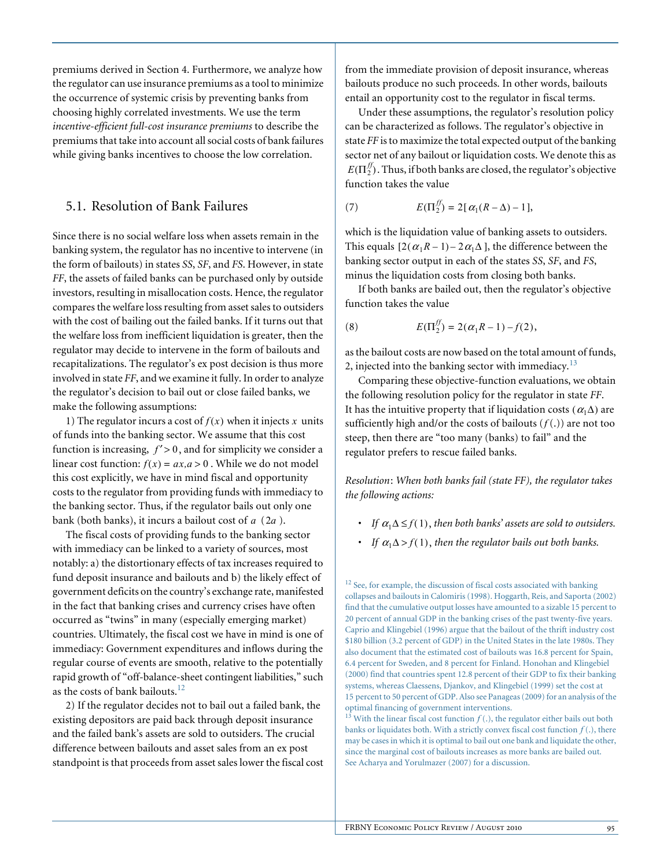premiums derived in Section 4. Furthermore, we analyze how the regulator can use insurance premiums as a tool to minimize the occurrence of systemic crisis by preventing banks from choosing highly correlated investments. We use the term *incentive-efficient full-cost insurance premiums* to describe the premiums that take into account all social costs of bank failures while giving banks incentives to choose the low correlation.

#### 5.1. Resolution of Bank Failures

Since there is no social welfare loss when assets remain in the banking system, the regulator has no incentive to intervene (in the form of bailouts) in states *SS*, *SF*, and *FS*. However, in state *FF*, the assets of failed banks can be purchased only by outside investors, resulting in misallocation costs. Hence, the regulator compares the welfare loss resulting from asset sales to outsiders with the cost of bailing out the failed banks. If it turns out that the welfare loss from inefficient liquidation is greater, then the regulator may decide to intervene in the form of bailouts and recapitalizations. The regulator's ex post decision is thus more involved in state *FF*, and we examine it fully. In order to analyze the regulator's decision to bail out or close failed banks, we make the following assumptions:

1) The regulator incurs a cost of  $f(x)$  when it injects x units of funds into the banking sector. We assume that this cost function is increasing,  $f' > 0$ , and for simplicity we consider a linear cost function:  $f(x) = ax, a > 0$ . While we do not model this cost explicitly, we have in mind fiscal and opportunity costs to the regulator from providing funds with immediacy to the banking sector. Thus, if the regulator bails out only one bank (both banks), it incurs a bailout cost of  $a$  ( $2a$ ).

The fiscal costs of providing funds to the banking sector with immediacy can be linked to a variety of sources, most notably: a) the distortionary effects of tax increases required to fund deposit insurance and bailouts and b) the likely effect of government deficits on the country's exchange rate, manifested in the fact that banking crises and currency crises have often occurred as "twins" in many (especially emerging market) countries. Ultimately, the fiscal cost we have in mind is one of immediacy: Government expenditures and inflows during the regular course of events are smooth, relative to the potentially rapid growth of "off-balance-sheet contingent liabilities," such as the costs of bank bailouts.<sup>12</sup>

2) If the regulator decides not to bail out a failed bank, the existing depositors are paid back through deposit insurance and the failed bank's assets are sold to outsiders. The crucial difference between bailouts and asset sales from an ex post standpoint is that proceeds from asset sales lower the fiscal cost

from the immediate provision of deposit insurance, whereas bailouts produce no such proceeds. In other words, bailouts entail an opportunity cost to the regulator in fiscal terms.

Under these assumptions, the regulator's resolution policy can be characterized as follows. The regulator's objective in state *FF* is to maximize the total expected output of the banking sector net of any bailout or liquidation costs. We denote this as  $E(\Pi_2^{f\!f})$ . Thus, if both banks are closed, the regulator's objective function takes the value

(7) 
$$
E(\Pi_2^{\mathcal{F}}) = 2[\alpha_1(R-\Delta)-1],
$$

which is the liquidation value of banking assets to outsiders. This equals  $[2(\alpha_1 R - 1) - 2\alpha_1 \Delta]$ , the difference between the banking sector output in each of the states *SS*, *SF*, and *FS*, minus the liquidation costs from closing both banks.

If both banks are bailed out, then the regulator's objective function takes the value

(8) 
$$
E(\Pi_2^{ff}) = 2(\alpha_1 R - 1) - f(2),
$$

as the bailout costs are now based on the total amount of funds, 2, injected into the banking sector with immediacy.<sup>13</sup>

Comparing these objective-function evaluations, we obtain the following resolution policy for the regulator in state *FF*. It has the intuitive property that if liquidation costs  $(\alpha_1 \Delta)$  are sufficiently high and/or the costs of bailouts  $(f(.))$  are not too steep, then there are "too many (banks) to fail" and the regulator prefers to rescue failed banks.

*Resolution* : *When both banks fail (state FF), the regulator takes the following actions:* 

- **•** *If*  $\alpha_1 \Delta \leq f(1)$ , then both banks' assets are sold to outsiders.
- If  $\alpha_1 \Delta > f(1)$ , then the regulator bails out both banks.

<sup>12</sup> See, for example, the discussion of fiscal costs associated with banking collapses and bailouts in Calomiris (1998). Hoggarth, Reis, and Saporta (2002) find that the cumulative output losses have amounted to a sizable 15 percent to 20 percent of annual GDP in the banking crises of the past twenty-five years. Caprio and Klingebiel (1996) argue that the bailout of the thrift industry cost \$180 billion (3.2 percent of GDP) in the United States in the late 1980s. They also document that the estimated cost of bailouts was 16.8 percent for Spain, 6.4 percent for Sweden, and 8 percent for Finland. Honohan and Klingebiel (2000) find that countries spent 12.8 percent of their GDP to fix their banking systems, whereas Claessens, Djankov, and Klingebiel (1999) set the cost at 15 percent to 50 percent of GDP. Also see Panageas (2009) for an analysis of the optimal financing of government interventions.

<sup>&</sup>lt;sup>13</sup> With the linear fiscal cost function  $f(.)$ , the regulator either bails out both banks or liquidates both. With a strictly convex fiscal cost function  $f(.)$ , there may be cases in which it is optimal to bail out one bank and liquidate the other, since the marginal cost of bailouts increases as more banks are bailed out. See Acharya and Yorulmazer (2007) for a discussion.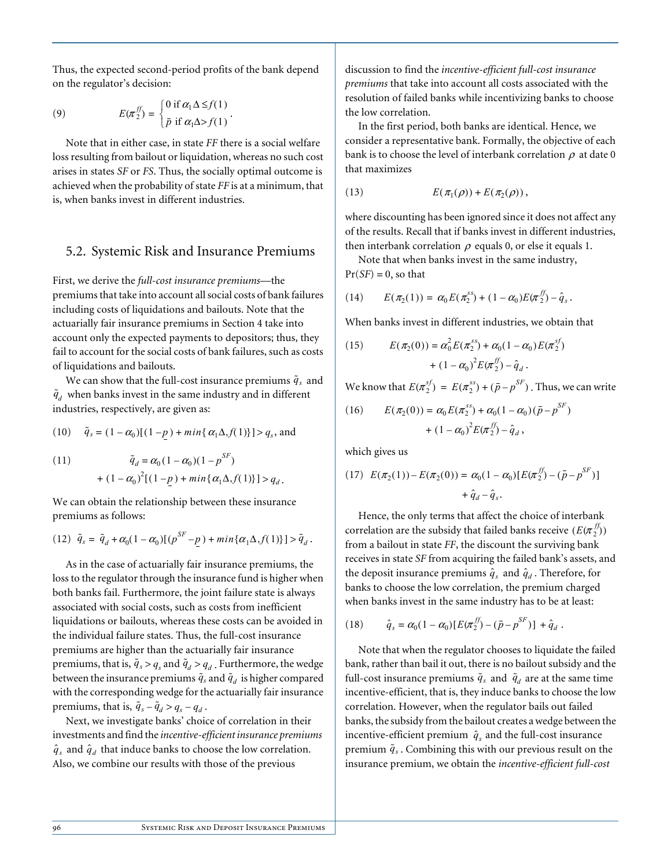Thus, the expected second-period profits of the bank depend on the regulator's decision:

(9) 
$$
E(\pi_2^{ff}) = \begin{cases} 0 \text{ if } \alpha_1 \Delta \leq f(1) \\ \bar{p} \text{ if } \alpha_1 \Delta > f(1) \end{cases}.
$$

Note that in either case, in state *FF* there is a social welfare loss resulting from bailout or liquidation, whereas no such cost arises in states *SF* or *FS*. Thus, the socially optimal outcome is achieved when the probability of state *FF* is at a minimum, that is, when banks invest in different industries.

#### 5.2. Systemic Risk and Insurance Premiums

First, we derive the *full-cost insurance premiums*—the premiums that take into account all social costs of bank failures including costs of liquidations and bailouts. Note that the actuarially fair insurance premiums in Section 4 take into account only the expected payments to depositors; thus, they fail to account for the social costs of bank failures, such as costs of liquidations and bailouts.

We can show that the full-cost insurance premiums  $\tilde{q}_s$  and  $\tilde{q}_d$  when banks invest in the same industry and in different industries, respectively, are given as:

(10) 
$$
\tilde{q}_s = (1 - \alpha_0)[(1 - p) + \min{\{\alpha_1 \Delta, f(1)\}}] > q_s
$$
, and

(11) 
$$
\tilde{q}_d = \alpha_0 (1 - \alpha_0)(1 - p^{SF}) + (1 - \alpha_0)^2 [(1 - p) + \min{\{\alpha_1 \Delta, f(1)\}}] > q_d.
$$

We can obtain the relationship between these insurance premiums as follows:

(12) 
$$
\tilde{q}_s = \tilde{q}_d + \alpha_0 (1 - \alpha_0) [(\rho^{SF} - \underline{p}) + \min{\{\alpha_1 \Delta, f(1)\}}] > \tilde{q}_d.
$$

As in the case of actuarially fair insurance premiums, the loss to the regulator through the insurance fund is higher when both banks fail. Furthermore, the joint failure state is always associated with social costs, such as costs from inefficient liquidations or bailouts, whereas these costs can be avoided in the individual failure states. Thus, the full-cost insurance premiums are higher than the actuarially fair insurance premiums, that is,  $\tilde{q}_s > q_s$  and  $\tilde{q}_d > q_d$ . Furthermore, the wedge between the insurance premiums  $\tilde{q}_s$  and  $\tilde{q}_d$  is higher compared with the corresponding wedge for the actuarially fair insurance premiums, that is,  $\tilde{q}_s - \tilde{q}_d > q_s - q_d$ .

Next, we investigate banks' choice of correlation in their investments and find the *incentive-efficient insurance premiums*  $\hat{q}_s$  and  $\hat{q}_d$  that induce banks to choose the low correlation. Also, we combine our results with those of the previous

discussion to find the *incentive-efficient full-cost insurance premiums* that take into account all costs associated with the resolution of failed banks while incentivizing banks to choose the low correlation.

In the first period, both banks are identical. Hence, we consider a representative bank. Formally, the objective of each bank is to choose the level of interbank correlation  $\rho$  at date 0 that maximizes

(13) 
$$
E(\pi_1(\rho))+E(\pi_2(\rho)),
$$

where discounting has been ignored since it does not affect any of the results. Recall that if banks invest in different industries, then interbank correlation  $\rho$  equals 0, or else it equals 1.

Note that when banks invest in the same industry,  $Pr(SF) = 0$ , so that

(14) 
$$
E(\pi_2(1)) = \alpha_0 E(\pi_2^{ss}) + (1 - \alpha_0) E(\pi_2^{ff}) - \hat{q}_s.
$$

When banks invest in different industries, we obtain that

(15) 
$$
E(\pi_2(0)) = \alpha_0^2 E(\pi_2^{ss}) + \alpha_0 (1 - \alpha_0) E(\pi_2^{sf}) + (1 - \alpha_0)^2 E(\pi_2^{ff}) - \hat{q}_d.
$$

We know that  $E(\pi_2^{sf}) = E(\pi_2^{ss}) + (\bar{p} - p^{SF})$ . Thus, we can write

(16) 
$$
E(\pi_2(0)) = \alpha_0 E(\pi_2^{ss}) + \alpha_0 (1 - \alpha_0) (\bar{p} - p^{SF})
$$

$$
+ (1 - \alpha_0)^2 E(\pi_2^{ff}) - \hat{q}_d,
$$

which gives us

(17) 
$$
E(\pi_2(1)) - E(\pi_2(0)) = \alpha_0 (1 - \alpha_0) [E(\pi_2^{ff}) - (\bar{p} - p^{SF})]
$$
  
  $+ \hat{q}_d - \hat{q}_s$ .

Hence, the only terms that affect the choice of interbank correlation are the subsidy that failed banks receive  $(E(\pi_2^{f\!f}) )$ from a bailout in state *FF*, the discount the surviving bank receives in state *SF* from acquiring the failed bank's assets, and the deposit insurance premiums  $\hat{q}_s$  and  $\hat{q}_d$ . Therefore, for banks to choose the low correlation, the premium charged when banks invest in the same industry has to be at least:

(18) 
$$
\hat{q}_s = \alpha_0 (1 - \alpha_0) [E(\pi_2^{ff}) - (\bar{p} - p^{SF})] + \hat{q}_d.
$$

Note that when the regulator chooses to liquidate the failed bank, rather than bail it out, there is no bailout subsidy and the full-cost insurance premiums  $\tilde{q}_s$  and  $\tilde{q}_d$  are at the same time incentive-efficient, that is, they induce banks to choose the low correlation. However, when the regulator bails out failed banks, the subsidy from the bailout creates a wedge between the incentive-efficient premium  $\hat{q}_s$  and the full-cost insurance premium  $\tilde{q}_s$ . Combining this with our previous result on the insurance premium, we obtain the *incentive-efficient full-cost*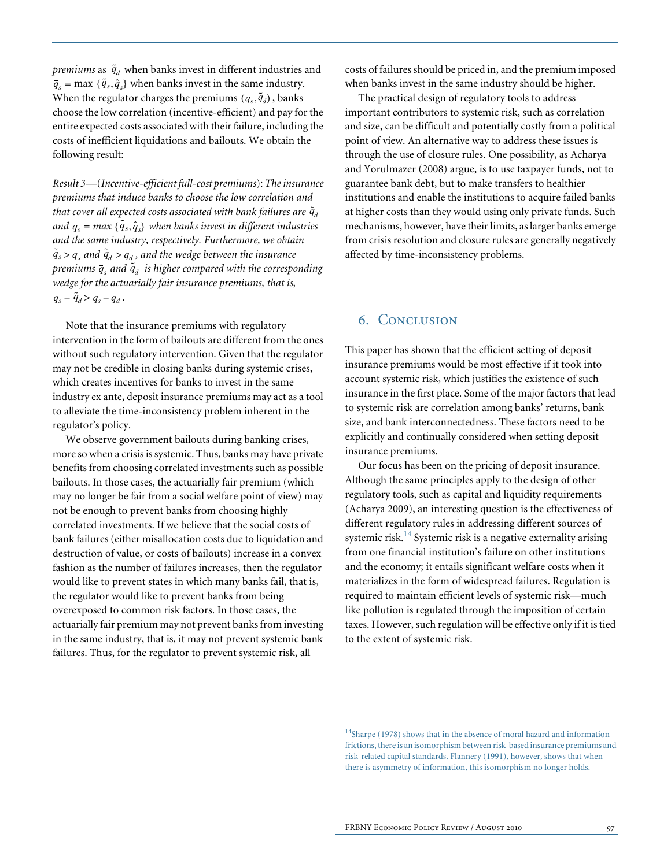*premiums* as  $\tilde{q}_d$  when banks invest in different industries and  $\overline{q}_s$  = max { $\tilde{q}_s$ *,* $\hat{q}_s$ } when banks invest in the same industry. When the regulator charges the premiums  $(\bar{q}_s, \tilde{q}_d)$ , banks choose the low correlation (incentive-efficient) and pay for the entire expected costs associated with their failure, including the costs of inefficient liquidations and bailouts. We obtain the following result:

*Result 3* —(*Incentive-efficient full-cost premiums*): *The insurance premiums that induce banks to choose the low correlation and*  that cover all expected costs associated with bank failures are  $\tilde{q}_{\vec d}$ and  $\bar{q}_s$  =  $max$  {  $\tilde{q}_s$ ,  $\hat{q}_s$ } when banks invest in different industries *and the same industry, respectively. Furthermore, we obtain*   $\tilde{q}_s > q_s$  and  $\tilde{q}_d > q_d$ , and the wedge between the insurance premiums  $\bar{q}_s$  and  $\tilde{q}_d$  is higher compared with the corresponding *wedge for the actuarially fair insurance premiums, that is,*   $\bar{q}_s - \tilde{q}_d > q_s - q_d$ .

Note that the insurance premiums with regulatory intervention in the form of bailouts are different from the ones without such regulatory intervention. Given that the regulator may not be credible in closing banks during systemic crises, which creates incentives for banks to invest in the same industry ex ante, deposit insurance premiums may act as a tool to alleviate the time-inconsistency problem inherent in the regulator's policy.

We observe government bailouts during banking crises, more so when a crisis is systemic. Thus, banks may have private benefits from choosing correlated investments such as possible bailouts. In those cases, the actuarially fair premium (which may no longer be fair from a social welfare point of view) may not be enough to prevent banks from choosing highly correlated investments. If we believe that the social costs of bank failures (either misallocation costs due to liquidation and destruction of value, or costs of bailouts) increase in a convex fashion as the number of failures increases, then the regulator would like to prevent states in which many banks fail, that is, the regulator would like to prevent banks from being overexposed to common risk factors. In those cases, the actuarially fair premium may not prevent banks from investing in the same industry, that is, it may not prevent systemic bank failures. Thus, for the regulator to prevent systemic risk, all

costs of failures should be priced in, and the premium imposed when banks invest in the same industry should be higher.

The practical design of regulatory tools to address important contributors to systemic risk, such as correlation and size, can be difficult and potentially costly from a political point of view. An alternative way to address these issues is through the use of closure rules. One possibility, as Acharya and Yorulmazer (2008) argue, is to use taxpayer funds, not to guarantee bank debt, but to make transfers to healthier institutions and enable the institutions to acquire failed banks at higher costs than they would using only private funds. Such mechanisms, however, have their limits, as larger banks emerge from crisis resolution and closure rules are generally negatively affected by time-inconsistency problems.

### 6. Conclusion

This paper has shown that the efficient setting of deposit insurance premiums would be most effective if it took into account systemic risk, which justifies the existence of such insurance in the first place. Some of the major factors that lead to systemic risk are correlation among banks' returns, bank size, and bank interconnectedness. These factors need to be explicitly and continually considered when setting deposit insurance premiums.

Our focus has been on the pricing of deposit insurance. Although the same principles apply to the design of other regulatory tools, such as capital and liquidity requirements (Acharya 2009), an interesting question is the effectiveness of different regulatory rules in addressing different sources of systemic risk.<sup>14</sup> Systemic risk is a negative externality arising from one financial institution's failure on other institutions and the economy; it entails significant welfare costs when it materializes in the form of widespread failures. Regulation is required to maintain efficient levels of systemic risk—much like pollution is regulated through the imposition of certain taxes. However, such regulation will be effective only if it is tied to the extent of systemic risk.

<sup>14</sup>Sharpe (1978) shows that in the absence of moral hazard and information frictions, there is an isomorphism between risk-based insurance premiums and risk-related capital standards. Flannery (1991), however, shows that when there is asymmetry of information, this isomorphism no longer holds.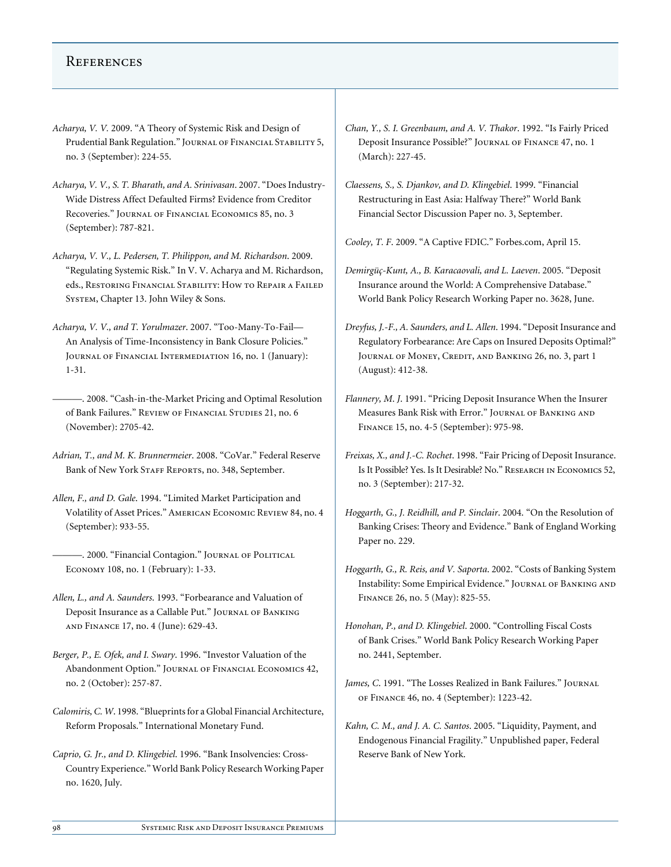#### **REFERENCES**

- *Acharya, V. V.* 2009. "A Theory of Systemic Risk and Design of Prudential Bank Regulation." JOURNAL OF FINANCIAL STABILITY 5, no. 3 (September): 224-55.
- *Acharya, V. V., S. T. Bharath, and A. Srinivasan*. 2007. "Does Industry-Wide Distress Affect Defaulted Firms? Evidence from Creditor Recoveries." Journal of Financial Economics 85, no. 3 (September): 787-821.
- *Acharya, V. V., L. Pedersen, T. Philippon, and M. Richardson*. 2009. "Regulating Systemic Risk." In V. V. Acharya and M. Richardson, eds., Restoring Financial Stability: How to Repair a Failed System, Chapter 13. John Wiley & Sons.
- *Acharya, V. V., and T. Yorulmazer*. 2007. "Too-Many-To-Fail— An Analysis of Time-Inconsistency in Bank Closure Policies." JOURNAL OF FINANCIAL INTERMEDIATION 16, no. 1 (January): 1-31.
- ———. 2008. "Cash-in-the-Market Pricing and Optimal Resolution of Bank Failures." REVIEW OF FINANCIAL STUDIES 21, no. 6 (November): 2705-42.
- *Adrian, T., and M. K. Brunnermeier*. 2008. "CoVar." Federal Reserve Bank of New York STAFF REPORTS, no. 348, September.
- *Allen, F., and D. Gale*. 1994. "Limited Market Participation and Volatility of Asset Prices." American Economic Review 84, no. 4 (September): 933-55.
	- ———. 2000. "Financial Contagion." Journal of Political Economy 108, no. 1 (February): 1-33.
- *Allen, L., and A. Saunders*. 1993. "Forbearance and Valuation of Deposit Insurance as a Callable Put." Journal of Banking and Finance 17, no. 4 (June): 629-43.
- *Berger, P., E. Ofek, and I. Swary*. 1996. "Investor Valuation of the Abandonment Option." Journal of Financial Economics 42, no. 2 (October): 257-87.
- *Calomiris, C. W*. 1998. "Blueprints for a Global Financial Architecture, Reform Proposals." International Monetary Fund.
- *Caprio, G. Jr., and D. Klingebiel*. 1996. "Bank Insolvencies: Cross-Country Experience." World Bank Policy Research Working Paper no. 1620, July.
- *Chan, Y., S. I. Greenbaum, and A. V. Thakor*. 1992. "Is Fairly Priced Deposit Insurance Possible?" Journal of Finance 47, no. 1 (March): 227-45.
- *Claessens, S., S. Djankov, and D. Klingebiel*. 1999. "Financial Restructuring in East Asia: Halfway There?" World Bank Financial Sector Discussion Paper no. 3, September.
- *Cooley, T. F*. 2009. "A Captive FDIC." Forbes.com, April 15.
- *Demirgüç-Kunt, A., B. Karacaovali, and L. Laeven*. 2005. "Deposit Insurance around the World: A Comprehensive Database." World Bank Policy Research Working Paper no. 3628, June.
- *Dreyfus, J.-F., A. Saunders, and L. Allen*. 1994. "Deposit Insurance and Regulatory Forbearance: Are Caps on Insured Deposits Optimal?" Journal of Money, Credit, and Banking 26, no. 3, part 1 (August): 412-38.
- *Flannery, M*. *J*. 1991. "Pricing Deposit Insurance When the Insurer Measures Bank Risk with Error." Journal of Banking and Finance 15, no. 4-5 (September): 975-98.
- *Freixas, X., and J.-C. Rochet*. 1998. "Fair Pricing of Deposit Insurance. Is It Possible? Yes. Is It Desirable? No." Research in Economics 52, no. 3 (September): 217-32.
- *Hoggarth, G., J. Reidhill, and P. Sinclair*. 2004. "On the Resolution of Banking Crises: Theory and Evidence." Bank of England Working Paper no. 229.
- *Hoggarth, G., R. Reis, and V. Saporta*. 2002. "Costs of Banking System Instability: Some Empirical Evidence." Journal of Banking and Finance 26, no. 5 (May): 825-55.
- *Honohan, P., and D. Klingebiel*. 2000. "Controlling Fiscal Costs of Bank Crises." World Bank Policy Research Working Paper no. 2441, September.
- *James, C*. 1991. "The Losses Realized in Bank Failures." Journal of Finance 46, no. 4 (September): 1223-42.
- *Kahn, C. M., and J. A. C. Santos*. 2005. "Liquidity, Payment, and Endogenous Financial Fragility." Unpublished paper, Federal Reserve Bank of New York.